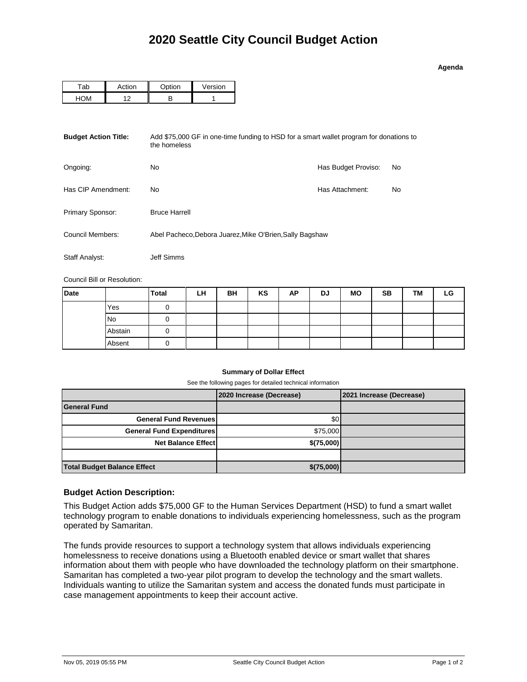| Adend |  |
|-------|--|
|       |  |

| <b>\ction</b>  | $\bigcap_{n\neq j\neq n}$ | Version |  |  |
|----------------|---------------------------|---------|--|--|
| $\overline{ }$ |                           |         |  |  |

| <b>Budget Action Title:</b> | Add \$75,000 GF in one-time funding to HSD for a smart wallet program for donations to<br>the homeless |                     |    |
|-----------------------------|--------------------------------------------------------------------------------------------------------|---------------------|----|
| Ongoing:                    | No.                                                                                                    | Has Budget Proviso: | No |
| Has CIP Amendment:          | No                                                                                                     | Has Attachment:     | No |
| Primary Sponsor:            | <b>Bruce Harrell</b>                                                                                   |                     |    |
| Council Members:            | Abel Pacheco, Debora Juarez, Mike O'Brien, Sally Bagshaw                                               |                     |    |
| Staff Analyst:              | Jeff Simms                                                                                             |                     |    |

Council Bill or Resolution:

| <b>Date</b> |           | <b>Total</b> | LH | BH | KS | AP | DJ | <b>MO</b> | <b>SB</b> | TМ | LG |
|-------------|-----------|--------------|----|----|----|----|----|-----------|-----------|----|----|
|             | Yes       |              |    |    |    |    |    |           |           |    |    |
|             | <b>No</b> |              |    |    |    |    |    |           |           |    |    |
|             | Abstain   | O            |    |    |    |    |    |           |           |    |    |
|             | Absent    |              |    |    |    |    |    |           |           |    |    |

## **Summary of Dollar Effect**

See the following pages for detailed technical information

|                                    | 2020 Increase (Decrease) | 2021 Increase (Decrease) |
|------------------------------------|--------------------------|--------------------------|
| <b>General Fund</b>                |                          |                          |
| <b>General Fund Revenues</b>       | \$0 <sub>1</sub>         |                          |
| <b>General Fund Expenditures</b>   | \$75,000                 |                          |
| <b>Net Balance Effect</b>          | \$(75,000)               |                          |
|                                    |                          |                          |
| <b>Total Budget Balance Effect</b> | \$(75,000)               |                          |

## **Budget Action Description:**

This Budget Action adds \$75,000 GF to the Human Services Department (HSD) to fund a smart wallet technology program to enable donations to individuals experiencing homelessness, such as the program operated by Samaritan.

The funds provide resources to support a technology system that allows individuals experiencing homelessness to receive donations using a Bluetooth enabled device or smart wallet that shares information about them with people who have downloaded the technology platform on their smartphone. Samaritan has completed a two-year pilot program to develop the technology and the smart wallets. Individuals wanting to utilize the Samaritan system and access the donated funds must participate in case management appointments to keep their account active.